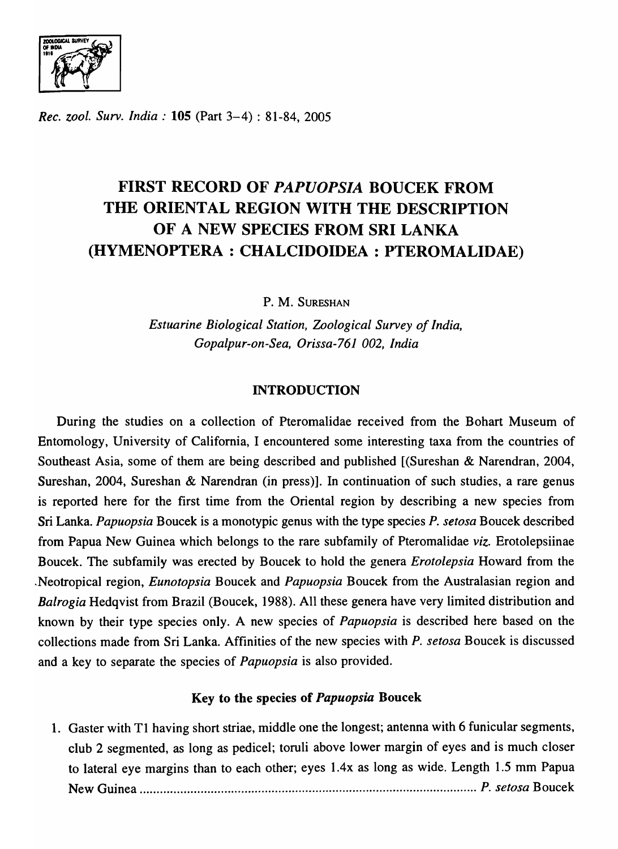ZOOLOGICAL SURV<br>OF INDIA<br>1916  $\mathcal{I}(\mathcal{I})$  $\ddot{•}$ 

*Rec. zool. Surv. India:* 105 (Part 3-4) : 81-84,2005

# FIRST RECORD OF *PAPUOPSIA* BOUCEK FROM THE ORIENTAL REGION WITH THE DESCRIPTION OF A NEW SPECIES FROM SRI LANKA (HYMENOPTERA : CHALCIDOIDEA : PTEROMALIDAE)

P. M. SURESHAN

*Estuarine Biological Station, Zoological Survey of India, Gopalpur-on-Sea, Orissa-761 002, India* 

## INTRODUCTION

During the studies on a collection of Pteromalidae received from the Bohart Museum of Entomology, University of California, I encountered some interesting taxa from the countries of Southeast Asia, some of them are being described and published [(Sureshan & Narendran, 2004, Sureshan, 2004, Sureshan & Narendran (in press)]. In continuation of such studies, a rare genus is reported here for the first time from the Oriental region by describing a new species from Sri Lanka. *Papuopsia* Boucek is a monotypic genus with the type species *P. setosa* Boucek described from Papua New Guinea which belongs to the rare subfamily of Pteromalidae *viz.* Erotolepsiinae Boucek. The subfamily was erected by Boucek to hold the genera *Erotolepsia* Howard from the Neotropical region, *Eunotopsia* Boucek and *Papuopsia* Boucek from the Australasian region and *Balrogia* Hedqvist from Brazil (Boucek, 1988). All these genera have very limited distribution and known by their type species only. A new species of *Papuopsia* is described here based on the collections made from Sri Lanka. Affinities of the new species with P. *setosa* Boucek is discussed and a key to separate the species of *Papuopsia* is also provided.

## Key to the species of *Papuopsia* Boucek

1. Gaster with Tl having short striae, middle one the longest; antenna with 6 funicular segments, club 2 segmented, as long as pedicel; toruli above lower margin of eyes and is much closer to lateral eye margins than to each other; eyes 1.4x as long as wide. Length 1.5 mm Papua New Guinea .................................................................................................... *P. setosa* Boucek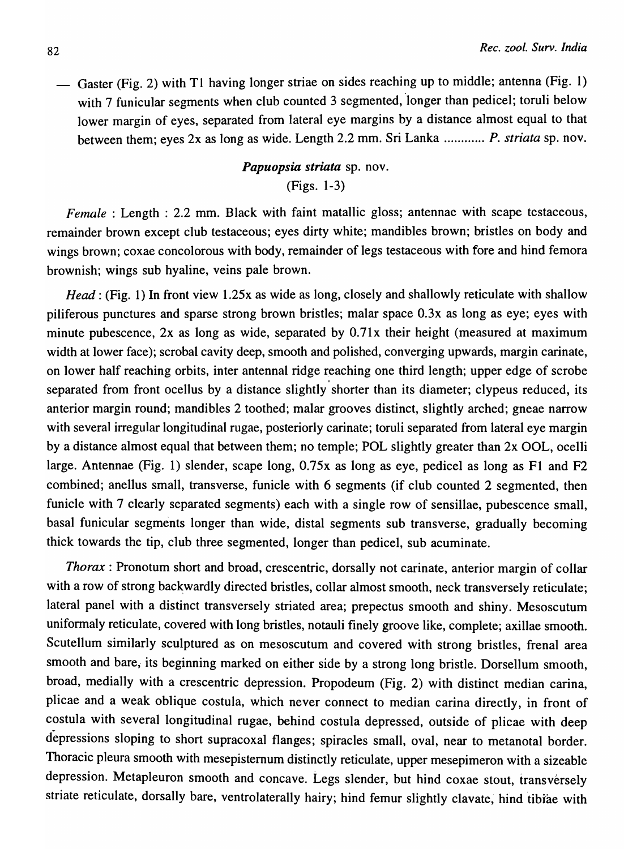Gaster (Fig. 2) with TI having longer striae on sides reaching up to middle; antenna (Fig. I) with 7 funicular segments when club counted 3 segmented, longer than pedicel; toruli below lower margin of eyes, separated from lateral eye margins by a distance almost equal to that between them; eyes 2x as long as wide. Length 2.2 mm. Sri Lanka ............ P. *striata* sp. nov.

# *Papuopsia striata* sp. nov. (Figs. 1-3)

*Female*: Length: 2.2 mm. Black with faint matallic gloss; antennae with scape testaceous, remainder brown except club testaceous; eyes dirty white; mandibles brown; bristles on body and wings brown; coxae concolorous with body, remainder of legs testaceous with fore and hind femora brownish; wings sub hyaline, veins pale brown.

*Head*: (Fig. 1) In front view 1.25x as wide as long, closely and shallowly reticulate with shallow piliferous punctures and sparse strong brown bristles; malar space O.3x as long as eye; eyes with minute pubescence,  $2x$  as long as wide, separated by  $0.71x$  their height (measured at maximum width at lower face); scrobal cavity deep, smooth and polished, converging upwards, margin carinate, on lower half reaching orbits, inter antennal ridge reaching one third length; upper edge of scrobe separated from front ocellus by a distance slightly shorter than its diameter; clypeus reduced, its anterior margin round; mandibles 2 toothed; malar grooves distinct, slightly arched; gneae narrow with several irregular longitudinal rugae, posteriorly carinate; toruli separated from lateral eye margin by a distance almost equal that between them; no temple; POL slightly greater than 2x DOL, ocelli large. Antennae (Fig. 1) slender, scape long, O.75x as long as eye, pedicel as long as FI and F2 combined; anellus small, transverse, funicle with 6 segments (if club counted 2 segmented, then funicle with 7 clearly separated segments) each with a single row of sensillae, pubescence small, basal funicular segments longer than wide, distal segments sub transverse, gradually becoming thick towards the tip, club three segmented, longer than pedicel, sub acuminate.

*Thorax:* Pronotum short and broad, crescentric, dorsally not carinate, anterior margin of collar with a row of strong backwardly directed bristles, collar almost smooth, neck transversely reticulate; lateral panel with a distinct transversely striated area; prepectus smooth and shiny. Mesoscutum uniformaly reticulate, covered with long bristles, notauli finely groove like, complete; axillae smooth. Scutellum similarly sculptured as on mesoscutum and covered with strong bristles, frenal area smooth and bare; its beginning marked on either side by a strong long bristle. Dorsellum smooth, broad, medially with a crescentric depression. Propodeum (Fig. 2) with distinct median carina, plicae and a weak oblique costula, which never connect to median carina directly, in front of costula with several longitudinal rugae, behind costula depressed, outside of plicae with deep depressions sloping to short supracoxal flanges; spiracles small, oval, near to metanotal border. Thoracic pleura smooth with mesepistemum distinctly reticulate, upper mesepimeron with a sizeable depression. Metapleuron smooth and concave. Legs slender, but hind coxae stout, transversely striate reticulate, dorsally bare, ventrolaterally hairy; hind femur slightly clavate, hind tibiae with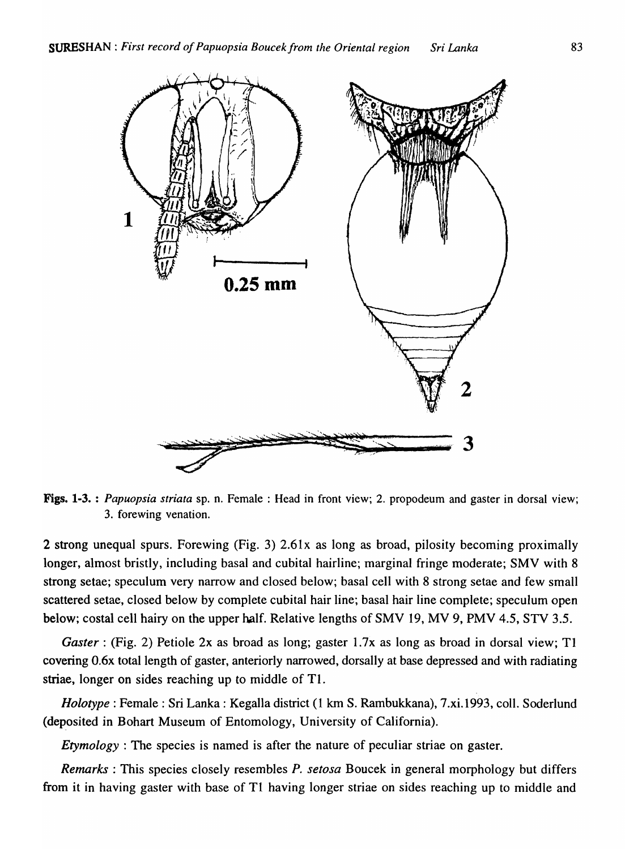

Figs. 1-3. : *Papuopsia striata* sp. n. Female: Head in front view; 2. propodeum and gaster in dorsal view; 3. forewing venation.

2 strong unequal spurs. Forewing (Fig. 3) 2.61x as long as broad, pilosity becoming proximally longer, almost bristly, including basal and cubital hairline; marginal fringe moderate; SMV with 8 strong setae; speculum very narrow and closed below; basal cell with 8 strong setae and few small scattered setae, closed below by complete cubital hair line; basal hair line complete; speculum open below; costal cell hairy on the upper half. Relative lengths of SMV 19, MV 9, PMV 4.5, STY 3.5.

*Gaster*: (Fig. 2) Petiole 2x as broad as long; gaster 1.7x as long as broad in dorsal view; T1 covering O.6x total length of gaster, anteriorly narrowed, dorsally at base depressed and with radiating striae, longer on sides reaching up to middle of T1.

*Holotype*: Female: Sri Lanka: Kegalla district (1 km S. Rambukkana), 7.xi.1993, coll. Soderlund (deposited in Bohart Museum of Entomology, University of California).

*Etymology*: The species is named is after the nature of peculiar striae on gaster.

*Remarks:* This species closely resembles *P. setosa* Boucek in general morphology but differs from it in having gaster with base of Tl having longer striae on sides reaching up to middle and